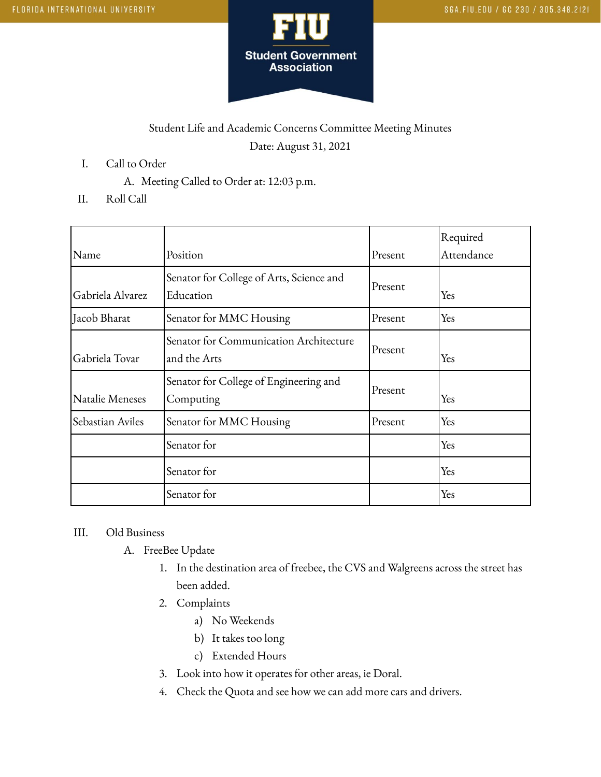

## Student Life and Academic Concerns Committee Meeting Minutes Date: August 31, 2021

- I. Call to Order
	- A. Meeting Called to Order at: 12:03 p.m.
- II. Roll Call

| Name             | Position                                               | Present | Required<br>Attendance |
|------------------|--------------------------------------------------------|---------|------------------------|
| Gabriela Alvarez | Senator for College of Arts, Science and<br>Education  | Present | Yes                    |
| Jacob Bharat     | Senator for MMC Housing                                | Present | Yes                    |
| Gabriela Tovar   | Senator for Communication Architecture<br>and the Arts | Present | Yes                    |
| Natalie Meneses  | Senator for College of Engineering and<br>Computing    | Present | Yes                    |
| Sebastian Aviles | Senator for MMC Housing                                | Present | Yes                    |
|                  | Senator for                                            |         | Yes                    |
|                  | Senator for                                            |         | Yes                    |
|                  | Senator for                                            |         | Yes                    |

## III. Old Business

- A. FreeBee Update
	- 1. In the destination area of freebee, the CVS and Walgreens across the street has been added.
	- 2. Complaints
		- a) No Weekends
		- b) It takes too long
		- c) Extended Hours
	- 3. Look into how it operates for other areas, ie Doral.
	- 4. Check the Quota and see how we can add more cars and drivers.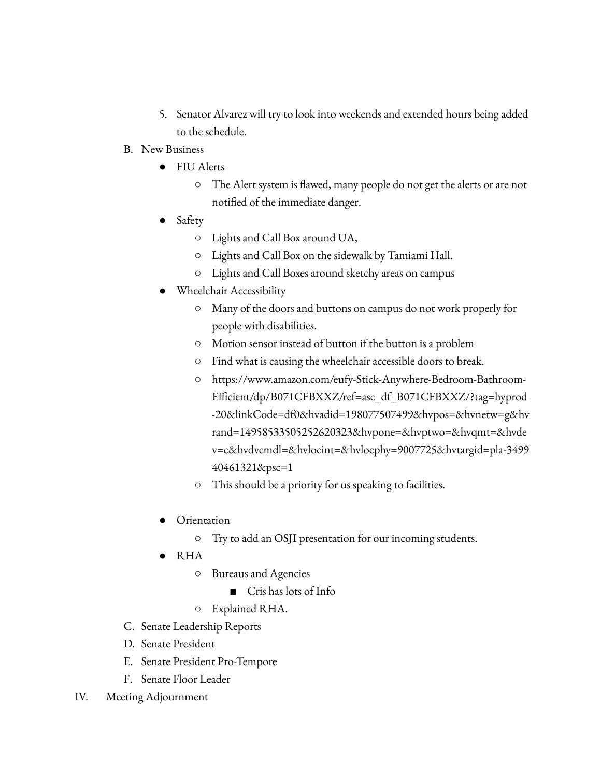- 5. Senator Alvarez will try to look into weekends and extended hours being added to the schedule.
- B. New Business
	- FIU Alerts
		- The Alert system is flawed, many people do not get the alerts or are not notified of the immediate danger.
	- Safety
		- Lights and Call Box around UA,
		- Lights and Call Box on the sidewalk by Tamiami Hall.
		- Lights and Call Boxes around sketchy areas on campus
	- Wheelchair Accessibility
		- Many of the doors and buttons on campus do not work properly for people with disabilities.
		- Motion sensor instead of button if the button is a problem
		- Find what is causing the wheelchair accessible doors to break.
		- https://www.amazon.com/eufy-Stick-Anywhere-Bedroom-Bathroom-Efficient/dp/B071CFBXXZ/ref=asc\_df\_B071CFBXXZ/?tag=hyprod -20&linkCode=df0&hvadid=198077507499&hvpos=&hvnetw=g&hv rand=14958533505252620323&hvpone=&hvptwo=&hvqmt=&hvde v=c&hvdvcmdl=&hvlocint=&hvlocphy=9007725&hvtargid=pla-3499 40461321&psc=1
		- This should be a priority for us speaking to facilities.
	- Orientation
		- Try to add an OSJI presentation for our incoming students.
	- RHA
		- Bureaus and Agencies
			- Cris has lots of Info
		- Explained RHA.
- C. Senate Leadership Reports
- D. Senate President
- E. Senate President Pro-Tempore
- F. Senate Floor Leader
- IV. Meeting Adjournment